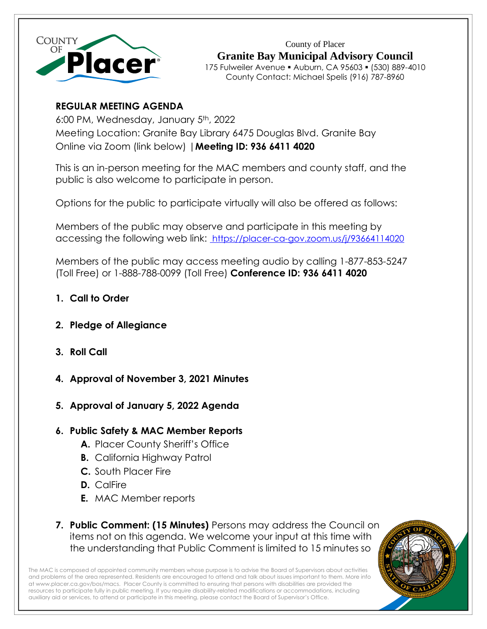

County of Placer **Granite Bay Municipal Advisory Council** 175 Fulweiler Avenue ▪ Auburn, CA 95603 ▪ (530) 889-4010 County Contact: Michael Spelis (916) 787-8960

# **REGULAR MEETING AGENDA**

6:00 PM, Wednesday, January 5th, 2022 Meeting Location: Granite Bay Library 6475 Douglas Blvd. Granite Bay Online via Zoom (link below) |**Meeting ID: 936 6411 4020**

This is an in-person meeting for the MAC members and county staff, and the public is also welcome to participate in person.

Options for the public to participate virtually will also be offered as follows:

Members of the public may observe and participate in this meeting by accessing the following web link: [https://placer-ca-gov.zoom.us/j/93664114020](https://placer-ca-gov.zoom.us/j/98625978192)

Members of the public may access meeting audio by calling 1-877-853-5247 (Toll Free) or 1-888-788-0099 (Toll Free) **Conference ID: 936 6411 4020**

- **1. Call to Order**
- **2. Pledge of Allegiance**
- **3. Roll Call**
- **4. Approval of November 3, 2021 Minutes**
- **5. Approval of January 5, 2022 Agenda**

## **6. Public Safety & MAC Member Reports**

- **A.** Placer County Sheriff's Office
- **B.** California Highway Patrol
- **C.** South Placer Fire
- **D.** CalFire
- **E.** MAC Member reports
- **7. Public Comment: (15 Minutes)** Persons may address the Council on items not on this agenda. We welcome your input at this time with the understanding that Public Comment is limited to 15 minutes so

The MAC is composed of appointed community members whose purpose is to advise the Board of Supervisors about activities and problems of the area represented. Residents are encouraged to attend and talk about issues important to them. More info a[t www.placer.ca.gov/bos/macs.](http://www.placer.ca.gov/bos/macs) Placer County is committed to ensuring that persons with disabilities are provided the resources to participate fully in public meeting. If you require disability-related modifications or accommodations, including auxiliary aid or services, to attend or participate in this meeting, please contact the Board of Supervisor's Office.

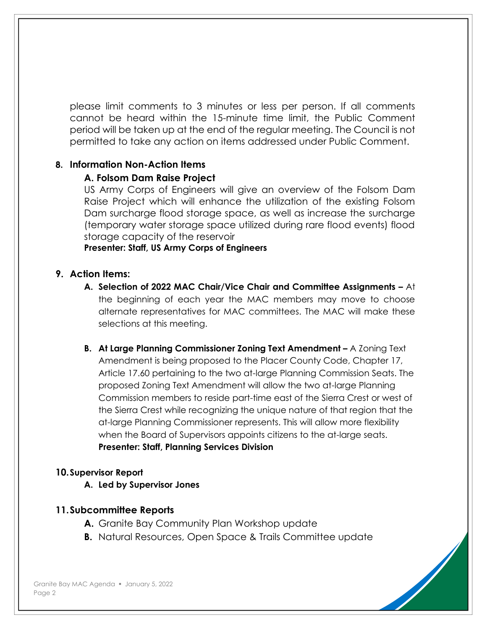please limit comments to 3 minutes or less per person. If all comments cannot be heard within the 15-minute time limit, the Public Comment period will be taken up at the end of the regular meeting. The Council is not permitted to take any action on items addressed under Public Comment.

### **8. Information Non-Action Items**

#### **A. Folsom Dam Raise Project**

US Army Corps of Engineers will give an overview of the Folsom Dam Raise Project which will enhance the utilization of the existing Folsom Dam surcharge flood storage space, as well as increase the surcharge (temporary water storage space utilized during rare flood events) flood storage capacity of the reservoir

**Presenter: Staff, US Army Corps of Engineers** 

#### **9. Action Items:**

- **A. Selection of 2022 MAC Chair/Vice Chair and Committee Assignments –** At the beginning of each year the MAC members may move to choose alternate representatives for MAC committees. The MAC will make these selections at this meeting.
- **B. At Large Planning Commissioner Zoning Text Amendment –** A Zoning Text Amendment is being proposed to the Placer County Code, Chapter 17, Article 17.60 pertaining to the two at-large Planning Commission Seats. The proposed Zoning Text Amendment will allow the two at-large Planning Commission members to reside part-time east of the Sierra Crest or west of the Sierra Crest while recognizing the unique nature of that region that the at-large Planning Commissioner represents. This will allow more flexibility when the Board of Supervisors appoints citizens to the at-large seats. **Presenter: Staff, Planning Services Division**

#### **10.Supervisor Report**

**A. Led by Supervisor Jones**

#### **11.Subcommittee Reports**

- **A.** Granite Bay Community Plan Workshop update
- **B.** Natural Resources, Open Space & Trails Committee update